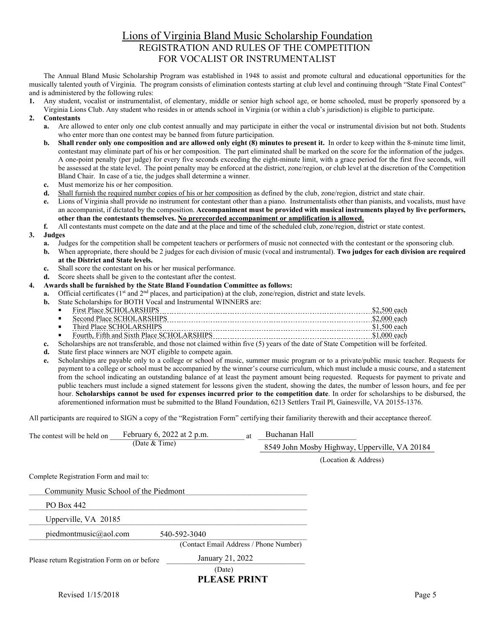## Lions of Virginia Bland Music Scholarship Foundation REGISTRATION AND RULES OF THE COMPETITION FOR VOCALIST OR INSTRUMENTALIST

The Annual Bland Music Scholarship Program was established in 1948 to assist and promote cultural and educational opportunities for the musically talented youth of Virginia. The program consists of elimination contests starting at club level and continuing through "State Final Contest" and is administered by the following rules:

**1.** Any student, vocalist or instrumentalist, of elementary, middle or senior high school age, or home schooled, must be properly sponsored by a Virginia Lions Club. Any student who resides in or attends school in Virginia (or within a club's jurisdiction) is eligible to participate.

## **2. Contestants**

- **a.** Are allowed to enter only one club contest annually and may participate in either the vocal or instrumental division but not both. Students who enter more than one contest may be banned from future participation.
- **b.** Shall render only one composition and are allowed only eight (8) minutes to present it. In order to keep within the 8-minute time limit, contestant may eliminate part of his or her composition. The part eliminated shall be marked on the score for the information of the judges. A one-point penalty (per judge) for every five seconds exceeding the eight-minute limit, with a grace period for the first five seconds, will be assessed at the state level. The point penalty may be enforced at the district, zone/region, or club level at the discretion of the Competition Bland Chair. In case of a tie, the judges shall determine a winner.
- **c.** Must memorize his or her composition.
- **d.** Shall furnish the required number copies of his or her composition as defined by the club, zone/region, district and state chair.
- **e.** Lions of Virginia shall provide no instrument for contestant other than a piano. Instrumentalists other than pianists, and vocalists, must have an accompanist, if dictated by the composition. **Accompaniment must be provided with musical instruments played by live performers, other than the contestants themselves. No prerecorded accompaniment or amplification is allowed.**
- **f.** All contestants must compete on the date and at the place and time of the scheduled club, zone/region, district or state contest.

## **3. Judges**

- **a.** Judges for the competition shall be competent teachers or performers of music not connected with the contestant or the sponsoring club.
- **b.** When appropriate, there should be 2 judges for each division of music (vocal and instrumental). **Two judges for each division are required at the District and State levels.**
- **c.** Shall score the contestant on his or her musical performance.
- **d.** Score sheets shall be given to the contestant after the contest.
- **4. Awards shall be furnished by the State Bland Foundation Committee as follows:**
	- **a.** Official certificates (1<sup>st</sup> and 2<sup>nd</sup> places, and participation) at the club, zone/region, district and state levels.
	- **b.** State Scholarships for BOTH Vocal and Instrumental WINNERS are:

| ٠ |      |   |
|---|------|---|
| ٠ | ---- |   |
| п | ---- | . |

- Fourth, Fifth and Sixth Place SCHOLARSHIPS \$1,000 each
- **c.** Scholarships are not transferable, and those not claimed within five (5) years of the date of State Competition will be forfeited.
- **d.** State first place winners are NOT eligible to compete again.
- **e.** Scholarships are payable only to a college or school of music, summer music program or to a private/public music teacher. Requests for payment to a college or school must be accompanied by the winner's course curriculum, which must include a music course, and a statement from the school indicating an outstanding balance of at least the payment amount being requested. Requests for payment to private and public teachers must include a signed statement for lessons given the student, showing the dates, the number of lesson hours, and fee per hour. **Scholarships cannot be used for expenses incurred prior to the competition date**. In order for scholarships to be disbursed, the aforementioned information must be submitted to the Bland Foundation, 6213 Settlers Trail Pl, Gainesville, VA 20155-1376.

All participants are required to SIGN a copy of the "Registration Form" certifying their familiarity therewith and their acceptance thereof.

| The contest will be held on                  |                 | February 6, 2022 at 2 p.m.<br><sub>at</sub> |  | Buchanan Hall                                 |                      |  |  |
|----------------------------------------------|-----------------|---------------------------------------------|--|-----------------------------------------------|----------------------|--|--|
|                                              | (Date $&$ Time) |                                             |  | 8549 John Mosby Highway, Upperville, VA 20184 |                      |  |  |
|                                              |                 |                                             |  |                                               | (Location & Address) |  |  |
| Complete Registration Form and mail to:      |                 |                                             |  |                                               |                      |  |  |
| Community Music School of the Piedmont       |                 |                                             |  |                                               |                      |  |  |
| PO Box 442                                   |                 |                                             |  |                                               |                      |  |  |
| Upperville, VA 20185                         |                 |                                             |  |                                               |                      |  |  |
| piedmontmusic@aol.com                        |                 | 540-592-3040                                |  |                                               |                      |  |  |
|                                              |                 | (Contact Email Address / Phone Number)      |  |                                               |                      |  |  |
| Please return Registration Form on or before |                 | January 21, 2022                            |  |                                               |                      |  |  |